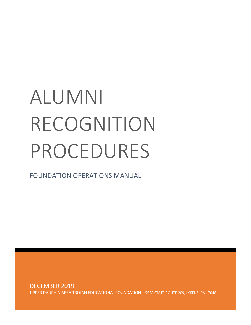# ALUMNI RECOGNITION PROCEDURES

FOUNDATION OPERATIONS MANUAL

DECEMBER 2019 UPPER DAUPHIN AREA TROJAN EDUCATIONAL FOUNDATION | 5668 STATE ROUTE 209, LYKENS, PA 17048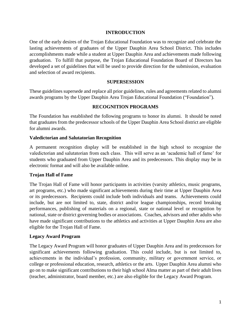#### **INTRODUCTION**

One of the early desires of the Trojan Educational Foundation was to recognize and celebrate the lasting achievements of graduates of the Upper Dauphin Area School District. This includes accomplishments made while a student at Upper Dauphin Area and achievements made following graduation. To fulfill that purpose, the Trojan Educational Foundation Board of Directors has developed a set of guidelines that will be used to provide direction for the submission, evaluation and selection of award recipients.

#### **SUPERSESSION**

These guidelines supersede and replace all prior guidelines, rules and agreements related to alumni awards programs by the Upper Dauphin Area Trojan Educational Foundation ("Foundation").

#### **RECOGNITION PROGRAMS**

The Foundation has established the following programs to honor its alumni. It should be noted that graduates from the predecessor schools of the Upper Dauphin Area School district are eligible for alumni awards.

#### **Valedictorian and Salutatorian Recognition**

A permanent recognition display will be established in the high school to recognize the valedictorian and salutatorian from each class. This will serve as an 'academic hall of fame' for students who graduated from Upper Dauphin Area and its predecessors. This display may be in electronic format and will also be available online.

#### **Trojan Hall of Fame**

The Trojan Hall of Fame will honor participants in activities (varsity athletics, music programs, art programs, etc.) who made significant achievements during their time at Upper Dauphin Area or its predecessors. Recipients could include both individuals and teams. Achievements could include, but are not limited to, state, district and/or league championships, record breaking performances, publishing of materials on a regional, state or national level or recognition by national, state or district governing bodies or associations. Coaches, advisors and other adults who have made significant contributions to the athletics and activities at Upper Dauphin Area are also eligible for the Trojan Hall of Fame.

#### **Legacy Award Program**

The Legacy Award Program will honor graduates of Upper Dauphin Area and its predecessors for significant achievements following graduation. This could include, but is not limited to, achievements in the individual's profession, community, military or government service, or college or professional education, research, athletics or the arts. Upper Dauphin Area alumni who go on to make significant contributions to their high school Alma matter as part of their adult lives (teacher, administrator, board member, etc.) are also eligible for the Legacy Award Program.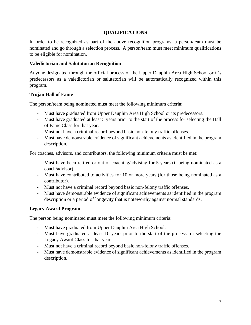### **QUALIFICATIONS**

In order to be recognized as part of the above recognition programs, a person/team must be nominated and go through a selection process. A person/team must meet minimum qualifications to be eligible for nomination.

#### **Valedictorian and Salutatorian Recognition**

Anyone designated through the official process of the Upper Dauphin Area High School or it's predecessors as a valedictorian or salutatorian will be automatically recognized within this program.

#### **Trojan Hall of Fame**

The person/team being nominated must meet the following minimum criteria:

- Must have graduated from Upper Dauphin Area High School or its predecessors.
- Must have graduated at least 5 years prior to the start of the process for selecting the Hall of Fame Class for that year.
- Must not have a criminal record beyond basic non-felony traffic offenses.
- Must have demonstrable evidence of significant achievements as identified in the program description.

For coaches, advisors, and contributors, the following minimum criteria must be met:

- Must have been retired or out of coaching/advising for 5 years (if being nominated as a coach/advisor).
- Must have contributed to activities for 10 or more years (for those being nominated as a contributor).
- Must not have a criminal record beyond basic non-felony traffic offenses.
- Must have demonstrable evidence of significant achievements as identified in the program description or a period of longevity that is noteworthy against normal standards.

# **Legacy Award Program**

The person being nominated must meet the following minimum criteria:

- Must have graduated from Upper Dauphin Area High School.
- Must have graduated at least 10 years prior to the start of the process for selecting the Legacy Award Class for that year.
- Must not have a criminal record beyond basic non-felony traffic offenses.
- Must have demonstrable evidence of significant achievements as identified in the program description.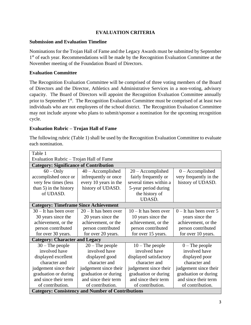# **EVALUATION CRITERIA**

#### **Submission and Evaluation Timeline**

Nominations for the Trojan Hall of Fame and the Legacy Awards must be submitted by September 1<sup>st</sup> of each year. Recommendations will be made by the Recognition Evaluation Committee at the November meeting of the Foundation Board of Directors.

#### **Evaluation Committee**

The Recognition Evaluation Committee will be comprised of three voting members of the Board of Directors and the Director, Athletics and Administrative Services in a non-voting, advisory capacity. The Board of Directors will appoint the Recognition Evaluation Committee annually prior to September 1<sup>st</sup>. The Recognition Evaluation Committee must be comprised of at least two individuals who are not employees of the school district. The Recognition Evaluation Committee may not include anyone who plans to submit/sponsor a nomination for the upcoming recognition cycle.

#### **Evaluation Rubric – Trojan Hall of Fame**

The following rubric (Table 1) shall be used by the Recognition Evaluation Committee to evaluate each nomination.

| Table 1                                                  |                         |                         |                          |  |  |
|----------------------------------------------------------|-------------------------|-------------------------|--------------------------|--|--|
| Evaluation Rubric – Trojan Hall of Fame                  |                         |                         |                          |  |  |
| <b>Category: Significance of Contribution</b>            |                         |                         |                          |  |  |
| $60 - Only$                                              | $40 -$ Accomplished     | $20 -$ Accomplished     | $0 -$ Accomplished       |  |  |
| accomplished once or                                     | infrequently or once    | fairly frequently or    | very frequently in the   |  |  |
| very few times (less                                     | every 10 years in the   | several times within a  | history of UDASD.        |  |  |
| than 5) in the history                                   | history of UDASD.       | 5-year period during    |                          |  |  |
| of UDASD.                                                |                         | the history of          |                          |  |  |
|                                                          |                         | <b>UDASD.</b>           |                          |  |  |
| <b>Category: Timeframe Since Achievement</b>             |                         |                         |                          |  |  |
| $30 -$ It has been over                                  | $20 -$ It has been over | $10 -$ It has been over | $0$ – It has been over 5 |  |  |
| 30 years since the                                       | 20 years since the      | 10 years since the      | years since the          |  |  |
| achievement, or the                                      | achievement, or the     | achievement, or the     | achievement, or the      |  |  |
| person contributed                                       | person contributed      | person contributed      | person contributed       |  |  |
| for over 30 years.                                       | for over 20 years.      | for over 15 years.      | for over 10 years.       |  |  |
| <b>Category: Character and Legacy</b>                    |                         |                         |                          |  |  |
| $30$ – The people                                        | $20$ – The people       | $10$ – The people       | $0$ – The people         |  |  |
| involved have                                            | involved have           | involved have           | involved have            |  |  |
| displayed excellent                                      | displayed good          | displayed satisfactory  | displayed poor           |  |  |
| character and                                            | character and           | character and           | character and            |  |  |
| judgement since their                                    | judgement since their   | judgement since their   | judgement since their    |  |  |
| graduation or during                                     | graduation or during    | graduation or during    | graduation or during     |  |  |
| and since their term                                     | and since their term    | and since their term    | and since their term     |  |  |
| of contribution.                                         | of contribution.        | of contribution.        | of contribution.         |  |  |
| <b>Category: Consistency and Number of Contributions</b> |                         |                         |                          |  |  |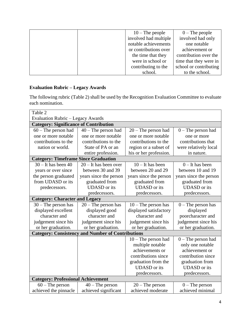| $10$ – The people     | $0$ – The people       |
|-----------------------|------------------------|
| involved had multiple | involved had only      |
| notable achievements  | one notable            |
| or contributions over | achievement or         |
| the time that they    | contribution over the  |
| were in school or     | time that they were in |
| contributing to the   | school or contributing |
| school.               | to the school.         |

# **Evaluation Rubric – Legacy Awards**

The following rubric (Table 2) shall be used by the Recognition Evaluation Committee to evaluate each nomination.

| Table 2                                       |                                                          |                        |                        |  |  |
|-----------------------------------------------|----------------------------------------------------------|------------------------|------------------------|--|--|
| <b>Evaluation Rubric - Legacy Awards</b>      |                                                          |                        |                        |  |  |
| <b>Category: Significance of Contribution</b> |                                                          |                        |                        |  |  |
| $60$ – The person had                         | $40$ – The person had                                    | $20$ – The person had  | $0$ – The person had   |  |  |
| one or more notable                           | one or more notable                                      | one or more notable    | one or more            |  |  |
| contributions to the                          | contributions to the                                     | contributions to the   | contributions that     |  |  |
| nation or world.                              | State of PA or an                                        | region or a subset of  | were relatively local  |  |  |
|                                               | entire profession.                                       | his or her profession. | in nature.             |  |  |
| <b>Category: Timeframe Since Graduation</b>   |                                                          |                        |                        |  |  |
| $30 -$ It has been 40                         | $20 -$ It has been over                                  | $10$ – It has been     | $0$ – It has been      |  |  |
| years or over since                           | between 30 and 39                                        | between 20 and 29      | between 10 and 19      |  |  |
| the person graduated                          | years since the person                                   | years since the person | years since the person |  |  |
| from UDASD or its                             | graduated from                                           | graduated from         | graduated from         |  |  |
| predecessors.                                 | <b>UDASD</b> or its                                      | <b>UDASD</b> or its    | <b>UDASD</b> or its    |  |  |
|                                               | predecessors.                                            | predecessors.          | predecessors.          |  |  |
| <b>Category: Character and Legacy</b>         |                                                          |                        |                        |  |  |
| $30$ – The person has                         | $20$ – The person has                                    | $10$ – The person has  | $0$ – The person has   |  |  |
| displayed excellent                           | displayed good                                           | displayed satisfactory | displayed              |  |  |
| character and                                 | character and                                            | character and          | poorcharacter and      |  |  |
| judgement since his                           | judgement since his                                      | judgement since his    | judgement since his    |  |  |
| or her graduation.                            | or her graduation.                                       | or her graduation.     | or her graduation.     |  |  |
|                                               | <b>Category: Consistency and Number of Contributions</b> |                        |                        |  |  |
|                                               |                                                          | $10$ – The person had  | $0$ – The person had   |  |  |
|                                               |                                                          | multiple notable       | only one notable       |  |  |
|                                               |                                                          | achievements or        | achievement or         |  |  |
|                                               |                                                          | contributions since    | contribution since     |  |  |
|                                               |                                                          | graduation from the    | graduation from        |  |  |
|                                               |                                                          | <b>UDASD</b> or its    | <b>UDASD</b> or its    |  |  |
|                                               |                                                          | predecessors.          | predecessors.          |  |  |
| <b>Category: Professional Achievement</b>     |                                                          |                        |                        |  |  |
| $60$ – The person                             | $40$ – The person                                        | $20$ – The person      | $0$ – The person       |  |  |
| achieved the pinnacle                         | achieved significant                                     | achieved moderate      | achieved minimal       |  |  |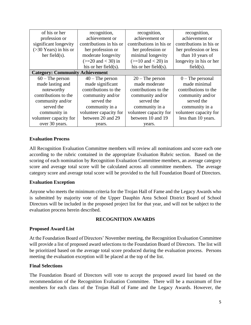| of his or her                          | recognition,             | recognition,             | recognition,            |
|----------------------------------------|--------------------------|--------------------------|-------------------------|
| profession or                          | achievement or           | achievement or           | achievement or          |
| significant longevity                  | contributions in his or  | contributions in his or  | contributions in his or |
| $($ >30 Years) in his or               | her profession or        | her profession or        | her profession or less  |
| her field $(s)$ .                      | moderate longevity       | minimal longevity        | than 10 years of        |
|                                        | $(>=20$ and $< 30$ ) in  | $(>=10$ and $< 20$ ) in  | longevity in his or her |
|                                        | his or her field $(s)$ . | his or her field $(s)$ . | $field(s)$ .            |
| <b>Category: Community Achievement</b> |                          |                          |                         |
| $60$ – The person                      | $40$ – The person        | $20$ – The person        | $0$ – The personal      |
| made lasting and                       | made significant         | made moderate            | made minimal            |
| noteworthy                             | contributions to the     | contributions to the     | contributions to the    |
| contributions to the                   | community and/or         | community and/or         | community and/or        |
| community and/or                       | served the               | served the               | served the              |
| served the                             | community in a           | community in a           | community in a          |
| community in                           | volunteer capacity for   | volunteer capacity for   | volunteer capacity for  |
| volunteer capacity for                 | between 20 and 29        | between 10 and 19        | less than 10 years.     |
| over 30 years.                         | years.                   | vears.                   |                         |

#### **Evaluation Process**

All Recognition Evaluation Committee members will review all nominations and score each one according to the rubric contained in the appropriate Evaluation Rubric section. Based on the scoring of each nomination by Recognition Evaluation Committee members, an average category score and average total score will be calculated across all committee members. The average category score and average total score will be provided to the full Foundation Board of Directors.

#### **Evaluation Exception**

Anyone who meets the minimum criteria for the Trojan Hall of Fame and the Legacy Awards who is submitted by majority vote of the Upper Dauphin Area School District Board of School Directors will be included in the proposed project list for that year, and will not be subject to the evaluation process herein described.

#### **RECOGNITION AWARDS**

#### **Proposed Award List**

At the Foundation Board of Directors' November meeting, the Recognition Evaluation Committee will provide a list of proposed award selections to the Foundation Board of Directors. The list will be prioritized based on the average total score produced during the evaluation process. Persons meeting the evaluation exception will be placed at the top of the list.

#### **Final Selections**

The Foundation Board of Directors will vote to accept the proposed award list based on the recommendation of the Recognition Evaluation Committee. There will be a maximum of five members for each class of the Trojan Hall of Fame and the Legacy Awards. However, the